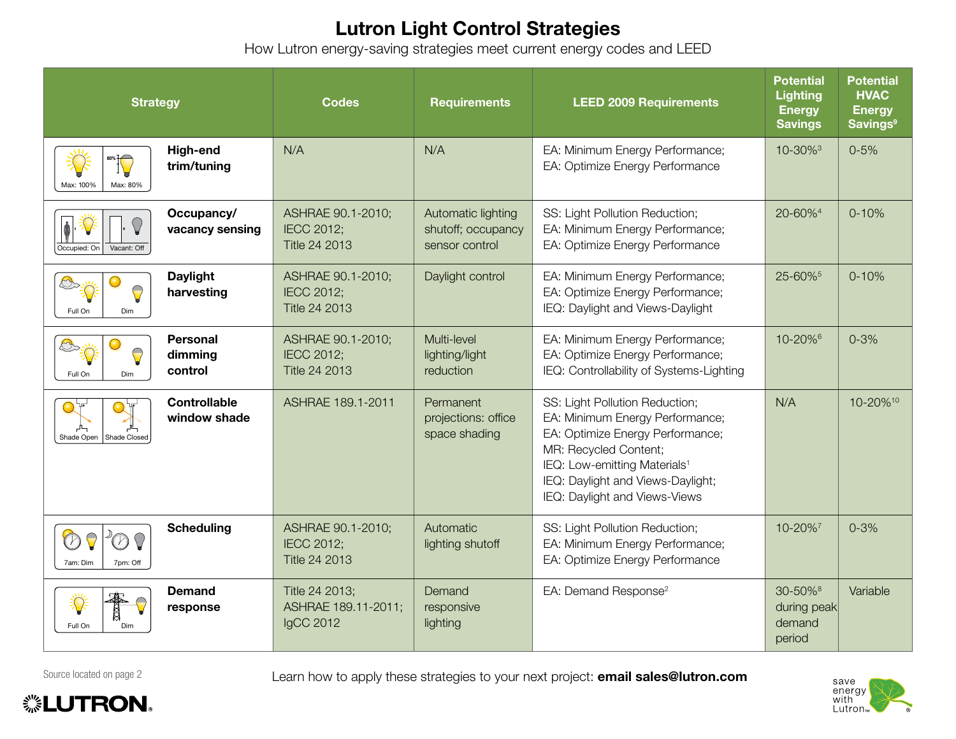## Lutron Light Control Strategies

How Lutron energy-saving strategies meet current energy codes and LEED

| <b>Strategy</b>                                                            | <b>Codes</b>                                            | <b>Requirements</b>                                        | <b>LEED 2009 Requirements</b>                                                                                                                                                                                                                    | <b>Potential</b><br><b>Lighting</b><br><b>Energy</b><br><b>Savings</b> | <b>Potential</b><br><b>HVAC</b><br><b>Energy</b><br><b>Savings<sup>9</sup></b> |
|----------------------------------------------------------------------------|---------------------------------------------------------|------------------------------------------------------------|--------------------------------------------------------------------------------------------------------------------------------------------------------------------------------------------------------------------------------------------------|------------------------------------------------------------------------|--------------------------------------------------------------------------------|
| High-end<br>80% <b>[C</b><br>trim/tuning<br>Max: 100%<br>Max: 80%          | N/A                                                     | N/A                                                        | EA: Minimum Energy Performance;<br>EA: Optimize Energy Performance                                                                                                                                                                               | 10-30% <sup>3</sup>                                                    | $0 - 5%$                                                                       |
| Occupancy/<br>$\bigcirc$<br>vacancy sensing<br>Vacant: Off<br>Occupied: On | ASHRAE 90.1-2010;<br><b>IECC 2012;</b><br>Title 24 2013 | Automatic lighting<br>shutoff; occupancy<br>sensor control | SS: Light Pollution Reduction;<br>EA: Minimum Energy Performance;<br>EA: Optimize Energy Performance                                                                                                                                             | 20-60% <sup>4</sup>                                                    | $0 - 10%$                                                                      |
| <b>Daylight</b><br>harvesting<br>Full On<br>Dim                            | ASHRAE 90.1-2010;<br><b>IECC 2012:</b><br>Title 24 2013 | Daylight control                                           | EA: Minimum Energy Performance;<br>EA: Optimize Energy Performance;<br>IEQ: Daylight and Views-Daylight                                                                                                                                          | 25-60% <sup>5</sup>                                                    | $0 - 10%$                                                                      |
| <b>Personal</b><br>dimming<br>control<br>Full On<br>Dim                    | ASHRAE 90.1-2010;<br><b>IECC 2012;</b><br>Title 24 2013 | Multi-level<br>lighting/light<br>reduction                 | EA: Minimum Energy Performance;<br>EA: Optimize Energy Performance;<br>IEQ: Controllability of Systems-Lighting                                                                                                                                  | 10-20% <sup>6</sup>                                                    | $0 - 3%$                                                                       |
| <b>Controllable</b><br>window shade<br>Shade Open<br>Shade Closed          | ASHRAE 189.1-2011                                       | Permanent<br>projections: office<br>space shading          | SS: Light Pollution Reduction;<br>EA: Minimum Energy Performance;<br>EA: Optimize Energy Performance;<br>MR: Recycled Content;<br>IEQ: Low-emitting Materials <sup>1</sup><br>IEQ: Daylight and Views-Daylight;<br>IEQ: Daylight and Views-Views | N/A                                                                    | 10-20% <sup>10</sup>                                                           |
| <b>Scheduling</b><br>7am: Dim<br>7pm: Off                                  | ASHRAE 90.1-2010;<br><b>IECC 2012;</b><br>Title 24 2013 | Automatic<br>lighting shutoff                              | SS: Light Pollution Reduction;<br>EA: Minimum Energy Performance;<br>EA: Optimize Energy Performance                                                                                                                                             | 10-20%                                                                 | $0 - 3%$                                                                       |
| <b>Demand</b><br>₹<br>response<br>Full On<br>Dim                           | Title 24 2013;<br>ASHRAE 189.11-2011;<br>IgCC 2012      | Demand<br>responsive<br>lighting                           | EA: Demand Response <sup>2</sup>                                                                                                                                                                                                                 | 30-50% <sup>8</sup><br>during peak<br>demand<br>period                 | Variable                                                                       |

**. LUTRON** 

Source located on page 2 Learn how to apply these strategies to your next project: email sales@lutron.com